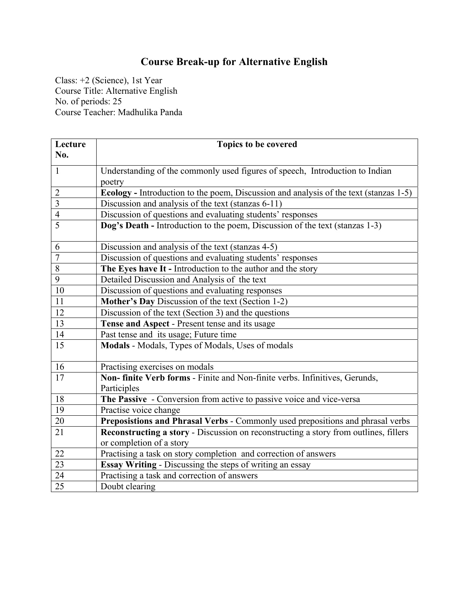## **Course Break-up for Alternative English**

Class: +2 (Science), 1st Year Course Title: Alternative English No. of periods: 25 Course Teacher: Madhulika Panda

| Lecture         | <b>Topics to be covered</b>                                                           |
|-----------------|---------------------------------------------------------------------------------------|
| No.             |                                                                                       |
| $\mathbf{1}$    | Understanding of the commonly used figures of speech, Introduction to Indian          |
|                 | poetry                                                                                |
| $\overline{2}$  | Ecology - Introduction to the poem, Discussion and analysis of the text (stanzas 1-5) |
| $\overline{3}$  | Discussion and analysis of the text (stanzas 6-11)                                    |
| $\overline{4}$  | Discussion of questions and evaluating students' responses                            |
| $\overline{5}$  | Dog's Death - Introduction to the poem, Discussion of the text (stanzas 1-3)          |
|                 |                                                                                       |
| 6               | Discussion and analysis of the text (stanzas 4-5)                                     |
| $\overline{7}$  | Discussion of questions and evaluating students' responses                            |
| $\overline{8}$  | The Eyes have It - Introduction to the author and the story                           |
| $\overline{9}$  | Detailed Discussion and Analysis of the text                                          |
| 10              | Discussion of questions and evaluating responses                                      |
| 11              | Mother's Day Discussion of the text (Section 1-2)                                     |
| 12              | Discussion of the text (Section 3) and the questions                                  |
| $\overline{13}$ | Tense and Aspect - Present tense and its usage                                        |
| 14              | Past tense and its usage; Future time                                                 |
| 15              | Modals - Modals, Types of Modals, Uses of modals                                      |
|                 |                                                                                       |
| 16              | Practising exercises on modals                                                        |
| 17              | Non- finite Verb forms - Finite and Non-finite verbs. Infinitives, Gerunds,           |
|                 | Participles                                                                           |
| 18              | The Passive - Conversion from active to passive voice and vice-versa                  |
| 19              | Practise voice change                                                                 |
| 20              | Preposistions and Phrasal Verbs - Commonly used prepositions and phrasal verbs        |
| $\overline{21}$ | Reconstructing a story - Discussion on reconstructing a story from outlines, fillers  |
|                 | or completion of a story                                                              |
| 22              | Practising a task on story completion and correction of answers                       |
| 23              | Essay Writing - Discussing the steps of writing an essay                              |
| 24              | Practising a task and correction of answers                                           |
| $\overline{25}$ | Doubt clearing                                                                        |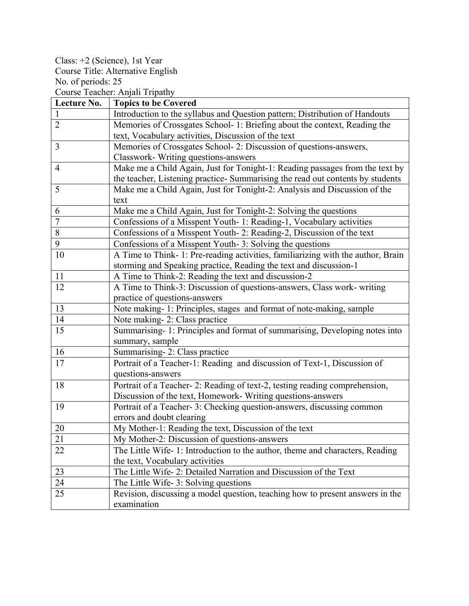Class: +2 (Science), 1st Year Course Title: Alternative English No. of periods: 25

Course Teacher: Anjali Tripathy

| Lecture No.    | <b>Topics to be Covered</b>                                                      |
|----------------|----------------------------------------------------------------------------------|
| $\mathbf{1}$   | Introduction to the syllabus and Question pattern; Distribution of Handouts      |
| $\overline{2}$ | Memories of Crossgates School- 1: Briefing about the context, Reading the        |
|                | text, Vocabulary activities, Discussion of the text                              |
| $\overline{3}$ | Memories of Crossgates School- 2: Discussion of questions-answers,               |
|                | Classwork- Writing questions-answers                                             |
| $\overline{4}$ | Make me a Child Again, Just for Tonight-1: Reading passages from the text by     |
|                | the teacher, Listening practice- Summarising the read out contents by students   |
| 5              | Make me a Child Again, Just for Tonight-2: Analysis and Discussion of the        |
|                | text                                                                             |
| 6              | Make me a Child Again, Just for Tonight-2: Solving the questions                 |
| $\overline{7}$ | Confessions of a Misspent Youth- 1: Reading-1, Vocabulary activities             |
| 8              | Confessions of a Misspent Youth- 2: Reading-2, Discussion of the text            |
| 9              | Confessions of a Misspent Youth-3: Solving the questions                         |
| 10             | A Time to Think- 1: Pre-reading activities, familiarizing with the author, Brain |
|                | storming and Speaking practice, Reading the text and discussion-1                |
| 11             | A Time to Think-2: Reading the text and discussion-2                             |
| 12             | A Time to Think-3: Discussion of questions-answers, Class work- writing          |
|                | practice of questions-answers                                                    |
| 13             | Note making-1: Principles, stages_and format of note-making, sample              |
| 14             | Note making-2: Class practice                                                    |
| 15             | Summarising-1: Principles and format of summarising, Developing notes into       |
|                | summary, sample                                                                  |
| 16             | Summarising-2: Class practice                                                    |
| 17             | Portrait of a Teacher-1: Reading and discussion of Text-1, Discussion of         |
|                | questions-answers                                                                |
| 18             | Portrait of a Teacher-2: Reading of text-2, testing reading comprehension,       |
|                | Discussion of the text, Homework- Writing questions-answers                      |
| 19             | Portrait of a Teacher-3: Checking question-answers, discussing common            |
|                | errors and doubt clearing                                                        |
| 20             | My Mother-1: Reading the text, Discussion of the text                            |
| 21             | My Mother-2: Discussion of questions-answers                                     |
| 22             | The Little Wife- 1: Introduction to the author, theme and characters, Reading    |
|                | the text, Vocabulary activities                                                  |
| 23             | The Little Wife- 2: Detailed Narration and Discussion of the Text                |
| 24             | The Little Wife-3: Solving questions                                             |
| 25             | Revision, discussing a model question, teaching how to present answers in the    |
|                | examination                                                                      |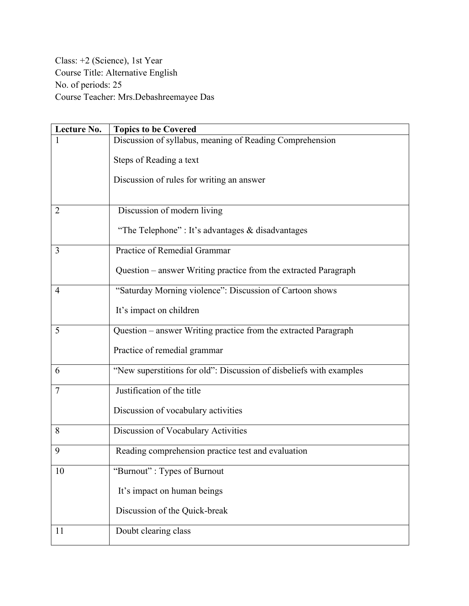Class: +2 (Science), 1st Year Course Title: Alternative English No. of periods: 25 Course Teacher: Mrs.Debashreemayee Das

| Lecture No.    | <b>Topics to be Covered</b>                                         |
|----------------|---------------------------------------------------------------------|
|                | Discussion of syllabus, meaning of Reading Comprehension            |
|                | Steps of Reading a text                                             |
|                | Discussion of rules for writing an answer                           |
|                |                                                                     |
| 2              | Discussion of modern living                                         |
|                | "The Telephone": It's advantages & disadvantages                    |
| 3              | Practice of Remedial Grammar                                        |
|                | Question – answer Writing practice from the extracted Paragraph     |
| $\overline{4}$ | "Saturday Morning violence": Discussion of Cartoon shows            |
|                | It's impact on children                                             |
| 5              | Question – answer Writing practice from the extracted Paragraph     |
|                | Practice of remedial grammar                                        |
| 6              | "New superstitions for old": Discussion of disbeliefs with examples |
| $\overline{7}$ | Justification of the title                                          |
|                | Discussion of vocabulary activities                                 |
| 8              | Discussion of Vocabulary Activities                                 |
| 9              | Reading comprehension practice test and evaluation                  |
| 10             | "Burnout": Types of Burnout                                         |
|                | It's impact on human beings                                         |
|                | Discussion of the Quick-break                                       |
| 11             | Doubt clearing class                                                |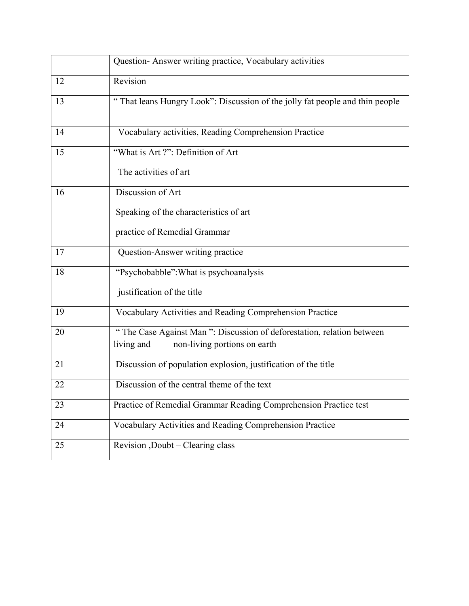|    | Question- Answer writing practice, Vocabulary activities                                                            |
|----|---------------------------------------------------------------------------------------------------------------------|
| 12 | Revision                                                                                                            |
| 13 | "That leans Hungry Look": Discussion of the jolly fat people and thin people                                        |
| 14 | Vocabulary activities, Reading Comprehension Practice                                                               |
| 15 | "What is Art ?": Definition of Art                                                                                  |
|    | The activities of art                                                                                               |
| 16 | Discussion of Art                                                                                                   |
|    | Speaking of the characteristics of art                                                                              |
|    | practice of Remedial Grammar                                                                                        |
| 17 | Question-Answer writing practice                                                                                    |
| 18 | "Psychobabble": What is psychoanalysis                                                                              |
|    | justification of the title                                                                                          |
| 19 | Vocabulary Activities and Reading Comprehension Practice                                                            |
| 20 | "The Case Against Man": Discussion of deforestation, relation between<br>non-living portions on earth<br>living and |
|    |                                                                                                                     |
| 21 | Discussion of population explosion, justification of the title                                                      |
| 22 | Discussion of the central theme of the text                                                                         |
| 23 | Practice of Remedial Grammar Reading Comprehension Practice test                                                    |
| 24 | Vocabulary Activities and Reading Comprehension Practice                                                            |
| 25 | Revision , Doubt - Clearing class                                                                                   |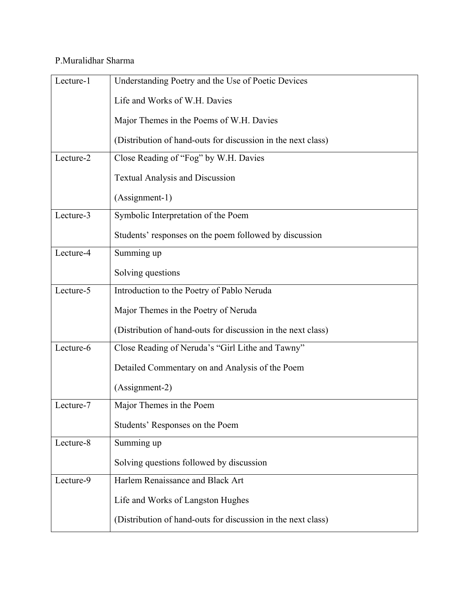## P.Muralidhar Sharma

| Lecture-1 | Understanding Poetry and the Use of Poetic Devices           |
|-----------|--------------------------------------------------------------|
|           | Life and Works of W.H. Davies                                |
|           | Major Themes in the Poems of W.H. Davies                     |
|           | (Distribution of hand-outs for discussion in the next class) |
| Lecture-2 | Close Reading of "Fog" by W.H. Davies                        |
|           | <b>Textual Analysis and Discussion</b>                       |
|           | (Assignment-1)                                               |
| Lecture-3 | Symbolic Interpretation of the Poem                          |
|           | Students' responses on the poem followed by discussion       |
| Lecture-4 | Summing up                                                   |
|           | Solving questions                                            |
| Lecture-5 | Introduction to the Poetry of Pablo Neruda                   |
|           | Major Themes in the Poetry of Neruda                         |
|           | (Distribution of hand-outs for discussion in the next class) |
| Lecture-6 | Close Reading of Neruda's "Girl Lithe and Tawny"             |
|           | Detailed Commentary on and Analysis of the Poem              |
|           | (Assignment-2)                                               |
| Lecture-7 | Major Themes in the Poem                                     |
|           | Students' Responses on the Poem                              |
| Lecture-8 | Summing up                                                   |
|           | Solving questions followed by discussion                     |
| Lecture-9 | Harlem Renaissance and Black Art                             |
|           | Life and Works of Langston Hughes                            |
|           | (Distribution of hand-outs for discussion in the next class) |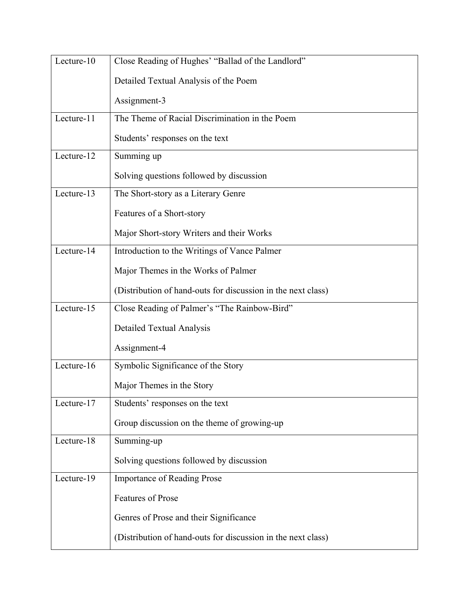| Lecture-10 | Close Reading of Hughes' "Ballad of the Landlord"            |
|------------|--------------------------------------------------------------|
|            | Detailed Textual Analysis of the Poem                        |
|            | Assignment-3                                                 |
| Lecture-11 | The Theme of Racial Discrimination in the Poem               |
|            | Students' responses on the text                              |
| Lecture-12 | Summing up                                                   |
|            | Solving questions followed by discussion                     |
| Lecture-13 | The Short-story as a Literary Genre                          |
|            | Features of a Short-story                                    |
|            | Major Short-story Writers and their Works                    |
| Lecture-14 | Introduction to the Writings of Vance Palmer                 |
|            | Major Themes in the Works of Palmer                          |
|            | (Distribution of hand-outs for discussion in the next class) |
| Lecture-15 | Close Reading of Palmer's "The Rainbow-Bird"                 |
|            | Detailed Textual Analysis                                    |
|            | Assignment-4                                                 |
| Lecture-16 | Symbolic Significance of the Story                           |
|            | Major Themes in the Story                                    |
| Lecture-17 | Students' responses on the text                              |
|            | Group discussion on the theme of growing-up                  |
| Lecture-18 | Summing-up                                                   |
|            | Solving questions followed by discussion                     |
| Lecture-19 | <b>Importance of Reading Prose</b>                           |
|            | <b>Features of Prose</b>                                     |
|            | Genres of Prose and their Significance                       |
|            | (Distribution of hand-outs for discussion in the next class) |